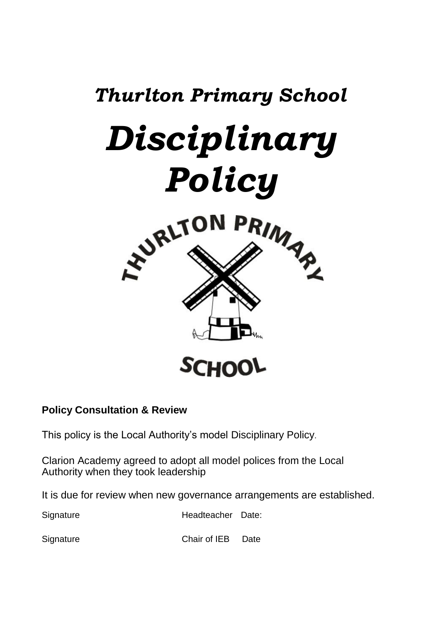

# **Policy Consultation & Review**

This policy is the Local Authority's model Disciplinary Policy.

Clarion Academy agreed to adopt all model polices from the Local Authority when they took leadership

It is due for review when new governance arrangements are established.

Signature Headteacher Date:

SignatureChair of IEB Date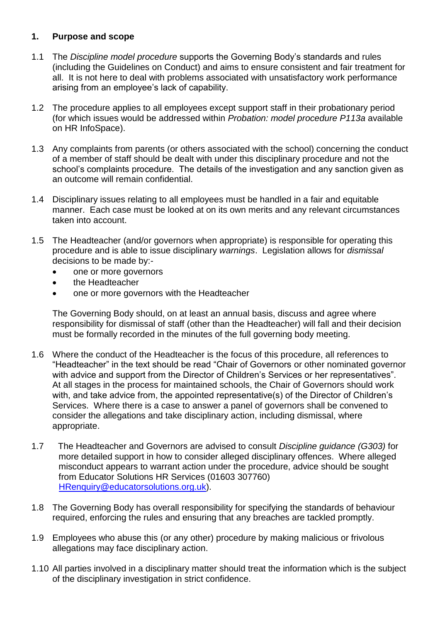# **1. Purpose and scope**

- 1.1 The *Discipline model procedure* supports the Governing Body's standards and rules (including the Guidelines on Conduct) and aims to ensure consistent and fair treatment for all. It is not here to deal with problems associated with unsatisfactory work performance arising from an employee's lack of capability.
- 1.2 The procedure applies to all employees except support staff in their probationary period (for which issues would be addressed within *Probation: model procedure P113a* available on HR InfoSpace).
- 1.3 Any complaints from parents (or others associated with the school) concerning the conduct of a member of staff should be dealt with under this disciplinary procedure and not the school's complaints procedure. The details of the investigation and any sanction given as an outcome will remain confidential.
- 1.4 Disciplinary issues relating to all employees must be handled in a fair and equitable manner. Each case must be looked at on its own merits and any relevant circumstances taken into account.
- 1.5 The Headteacher (and/or governors when appropriate) is responsible for operating this procedure and is able to issue disciplinary *warnings*. Legislation allows for *dismissal* decisions to be made by:-
	- one or more governors
	- the Headteacher
	- one or more governors with the Headteacher

The Governing Body should, on at least an annual basis, discuss and agree where responsibility for dismissal of staff (other than the Headteacher) will fall and their decision must be formally recorded in the minutes of the full governing body meeting.

- 1.6 Where the conduct of the Headteacher is the focus of this procedure, all references to "Headteacher" in the text should be read "Chair of Governors or other nominated governor with advice and support from the Director of Children's Services or her representatives". At all stages in the process for maintained schools, the Chair of Governors should work with, and take advice from, the appointed representative(s) of the Director of Children's Services. Where there is a case to answer a panel of governors shall be convened to consider the allegations and take disciplinary action, including dismissal, where appropriate.
- 1.7 The Headteacher and Governors are advised to consult *Discipline guidance (G303)* for more detailed support in how to consider alleged disciplinary offences. Where alleged misconduct appears to warrant action under the procedure, advice should be sought from Educator Solutions HR Services (01603 307760) [HRenquiry@educatorsolutions.org.uk\)](mailto:HRenquiry@educatorsolutions.org.uk).
- 1.8 The Governing Body has overall responsibility for specifying the standards of behaviour required, enforcing the rules and ensuring that any breaches are tackled promptly.
- 1.9 Employees who abuse this (or any other) procedure by making malicious or frivolous allegations may face disciplinary action.
- 1.10 All parties involved in a disciplinary matter should treat the information which is the subject of the disciplinary investigation in strict confidence.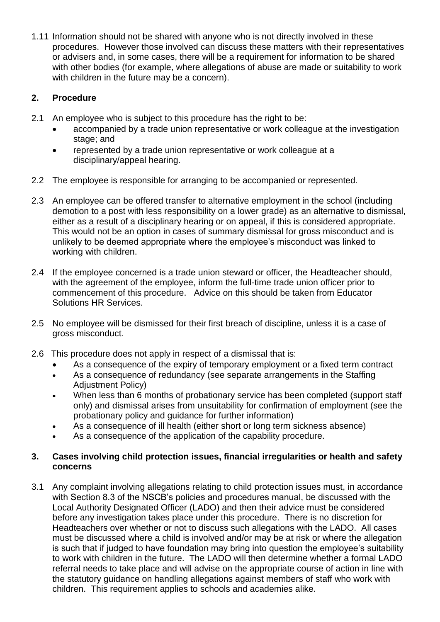1.11 Information should not be shared with anyone who is not directly involved in these procedures. However those involved can discuss these matters with their representatives or advisers and, in some cases, there will be a requirement for information to be shared with other bodies (for example, where allegations of abuse are made or suitability to work with children in the future may be a concern).

# **2. Procedure**

- 2.1 An employee who is subject to this procedure has the right to be:
	- accompanied by a trade union representative or work colleague at the investigation stage; and
	- represented by a trade union representative or work colleague at a disciplinary/appeal hearing.
- 2.2 The employee is responsible for arranging to be accompanied or represented.
- 2.3 An employee can be offered transfer to alternative employment in the school (including demotion to a post with less responsibility on a lower grade) as an alternative to dismissal, either as a result of a disciplinary hearing or on appeal, if this is considered appropriate. This would not be an option in cases of summary dismissal for gross misconduct and is unlikely to be deemed appropriate where the employee's misconduct was linked to working with children.
- 2.4 If the employee concerned is a trade union steward or officer, the Headteacher should, with the agreement of the employee, inform the full-time trade union officer prior to commencement of this procedure. Advice on this should be taken from Educator Solutions HR Services.
- 2.5 No employee will be dismissed for their first breach of discipline, unless it is a case of gross misconduct.
- 2.6 This procedure does not apply in respect of a dismissal that is:
	- As a consequence of the expiry of temporary employment or a fixed term contract
	- As a consequence of redundancy (see separate arrangements in the Staffing Adjustment Policy)
	- When less than 6 months of probationary service has been completed (support staff only) and dismissal arises from unsuitability for confirmation of employment (see the probationary policy and guidance for further information)
	- As a consequence of ill health (either short or long term sickness absence)
	- As a consequence of the application of the capability procedure.

# **3. Cases involving child protection issues, financial irregularities or health and safety concerns**

3.1 Any complaint involving allegations relating to child protection issues must, in accordance with Section 8.3 of the NSCB's policies and procedures manual, be discussed with the Local Authority Designated Officer (LADO) and then their advice must be considered before any investigation takes place under this procedure. There is no discretion for Headteachers over whether or not to discuss such allegations with the LADO. All cases must be discussed where a child is involved and/or may be at risk or where the allegation is such that if judged to have foundation may bring into question the employee's suitability to work with children in the future. The LADO will then determine whether a formal LADO referral needs to take place and will advise on the appropriate course of action in line with the statutory guidance on handling allegations against members of staff who work with children. This requirement applies to schools and academies alike.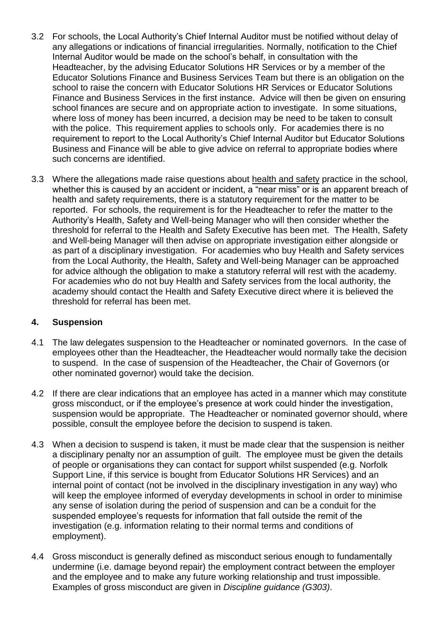- 3.2 For schools, the Local Authority's Chief Internal Auditor must be notified without delay of any allegations or indications of financial irregularities. Normally, notification to the Chief Internal Auditor would be made on the school's behalf, in consultation with the Headteacher, by the advising Educator Solutions HR Services or by a member of the Educator Solutions Finance and Business Services Team but there is an obligation on the school to raise the concern with Educator Solutions HR Services or Educator Solutions Finance and Business Services in the first instance. Advice will then be given on ensuring school finances are secure and on appropriate action to investigate. In some situations, where loss of money has been incurred, a decision may be need to be taken to consult with the police. This requirement applies to schools only. For academies there is no requirement to report to the Local Authority's Chief Internal Auditor but Educator Solutions Business and Finance will be able to give advice on referral to appropriate bodies where such concerns are identified.
- 3.3 Where the allegations made raise questions about health and safety practice in the school, whether this is caused by an accident or incident, a "near miss" or is an apparent breach of health and safety requirements, there is a statutory requirement for the matter to be reported. For schools, the requirement is for the Headteacher to refer the matter to the Authority's Health, Safety and Well-being Manager who will then consider whether the threshold for referral to the Health and Safety Executive has been met. The Health, Safety and Well-being Manager will then advise on appropriate investigation either alongside or as part of a disciplinary investigation. For academies who buy Health and Safety services from the Local Authority, the Health, Safety and Well-being Manager can be approached for advice although the obligation to make a statutory referral will rest with the academy. For academies who do not buy Health and Safety services from the local authority, the academy should contact the Health and Safety Executive direct where it is believed the threshold for referral has been met.

# **4. Suspension**

- 4.1 The law delegates suspension to the Headteacher or nominated governors. In the case of employees other than the Headteacher, the Headteacher would normally take the decision to suspend. In the case of suspension of the Headteacher, the Chair of Governors (or other nominated governor) would take the decision.
- 4.2 If there are clear indications that an employee has acted in a manner which may constitute gross misconduct, or if the employee's presence at work could hinder the investigation, suspension would be appropriate. The Headteacher or nominated governor should, where possible, consult the employee before the decision to suspend is taken.
- 4.3 When a decision to suspend is taken, it must be made clear that the suspension is neither a disciplinary penalty nor an assumption of guilt. The employee must be given the details of people or organisations they can contact for support whilst suspended (e.g. Norfolk Support Line, if this service is bought from Educator Solutions HR Services) and an internal point of contact (not be involved in the disciplinary investigation in any way) who will keep the employee informed of everyday developments in school in order to minimise any sense of isolation during the period of suspension and can be a conduit for the suspended employee's requests for information that fall outside the remit of the investigation (e.g. information relating to their normal terms and conditions of employment).
- 4.4 Gross misconduct is generally defined as misconduct serious enough to fundamentally undermine (i.e. damage beyond repair) the employment contract between the employer and the employee and to make any future working relationship and trust impossible. Examples of gross misconduct are given in *Discipline guidance (G303)*.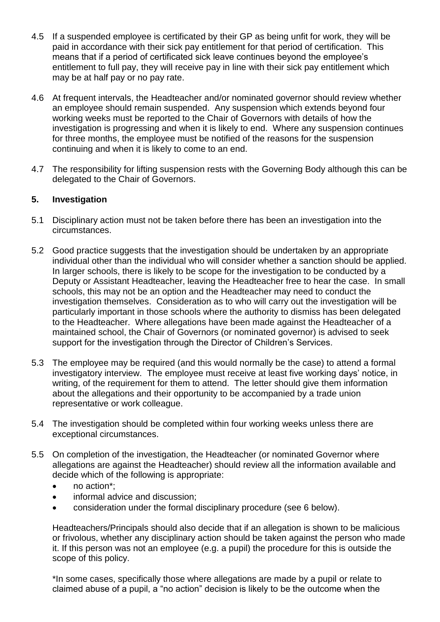- 4.5 If a suspended employee is certificated by their GP as being unfit for work, they will be paid in accordance with their sick pay entitlement for that period of certification. This means that if a period of certificated sick leave continues beyond the employee's entitlement to full pay, they will receive pay in line with their sick pay entitlement which may be at half pay or no pay rate.
- 4.6 At frequent intervals, the Headteacher and/or nominated governor should review whether an employee should remain suspended. Any suspension which extends beyond four working weeks must be reported to the Chair of Governors with details of how the investigation is progressing and when it is likely to end. Where any suspension continues for three months, the employee must be notified of the reasons for the suspension continuing and when it is likely to come to an end.
- 4.7 The responsibility for lifting suspension rests with the Governing Body although this can be delegated to the Chair of Governors.

### **5. Investigation**

- 5.1 Disciplinary action must not be taken before there has been an investigation into the circumstances.
- 5.2 Good practice suggests that the investigation should be undertaken by an appropriate individual other than the individual who will consider whether a sanction should be applied. In larger schools, there is likely to be scope for the investigation to be conducted by a Deputy or Assistant Headteacher, leaving the Headteacher free to hear the case. In small schools, this may not be an option and the Headteacher may need to conduct the investigation themselves. Consideration as to who will carry out the investigation will be particularly important in those schools where the authority to dismiss has been delegated to the Headteacher. Where allegations have been made against the Headteacher of a maintained school, the Chair of Governors (or nominated governor) is advised to seek support for the investigation through the Director of Children's Services.
- 5.3 The employee may be required (and this would normally be the case) to attend a formal investigatory interview. The employee must receive at least five working days' notice, in writing, of the requirement for them to attend. The letter should give them information about the allegations and their opportunity to be accompanied by a trade union representative or work colleague.
- 5.4 The investigation should be completed within four working weeks unless there are exceptional circumstances.
- 5.5 On completion of the investigation, the Headteacher (or nominated Governor where allegations are against the Headteacher) should review all the information available and decide which of the following is appropriate:
	- no action\*;
	- informal advice and discussion;
	- consideration under the formal disciplinary procedure (see 6 below).

Headteachers/Principals should also decide that if an allegation is shown to be malicious or frivolous, whether any disciplinary action should be taken against the person who made it. If this person was not an employee (e.g. a pupil) the procedure for this is outside the scope of this policy.

\*In some cases, specifically those where allegations are made by a pupil or relate to claimed abuse of a pupil, a "no action" decision is likely to be the outcome when the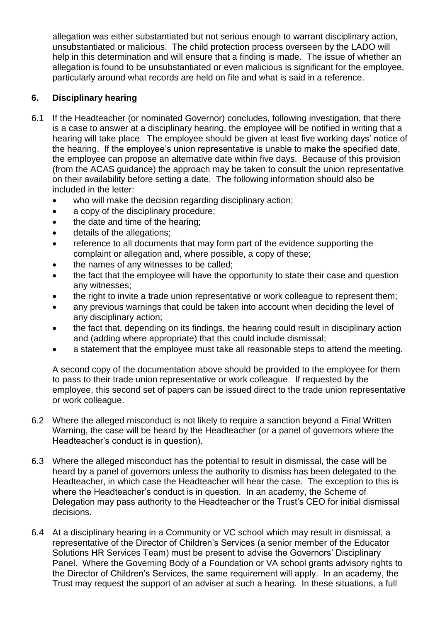allegation was either substantiated but not serious enough to warrant disciplinary action, unsubstantiated or malicious. The child protection process overseen by the LADO will help in this determination and will ensure that a finding is made. The issue of whether an allegation is found to be unsubstantiated or even malicious is significant for the employee, particularly around what records are held on file and what is said in a reference.

# **6. Disciplinary hearing**

- 6.1 If the Headteacher (or nominated Governor) concludes, following investigation, that there is a case to answer at a disciplinary hearing, the employee will be notified in writing that a hearing will take place. The employee should be given at least five working days' notice of the hearing. If the employee's union representative is unable to make the specified date, the employee can propose an alternative date within five days. Because of this provision (from the ACAS guidance) the approach may be taken to consult the union representative on their availability before setting a date. The following information should also be included in the letter:
	- who will make the decision regarding disciplinary action;
	- a copy of the disciplinary procedure;
	- the date and time of the hearing;
	- details of the allegations;
	- reference to all documents that may form part of the evidence supporting the complaint or allegation and, where possible, a copy of these;
	- the names of any witnesses to be called;
	- the fact that the employee will have the opportunity to state their case and question any witnesses;
	- the right to invite a trade union representative or work colleague to represent them;
	- any previous warnings that could be taken into account when deciding the level of any disciplinary action;
	- the fact that, depending on its findings, the hearing could result in disciplinary action and (adding where appropriate) that this could include dismissal;
	- a statement that the employee must take all reasonable steps to attend the meeting.

A second copy of the documentation above should be provided to the employee for them to pass to their trade union representative or work colleague. If requested by the employee, this second set of papers can be issued direct to the trade union representative or work colleague.

- 6.2 Where the alleged misconduct is not likely to require a sanction beyond a Final Written Warning, the case will be heard by the Headteacher (or a panel of governors where the Headteacher's conduct is in question).
- 6.3 Where the alleged misconduct has the potential to result in dismissal, the case will be heard by a panel of governors unless the authority to dismiss has been delegated to the Headteacher, in which case the Headteacher will hear the case. The exception to this is where the Headteacher's conduct is in question. In an academy, the Scheme of Delegation may pass authority to the Headteacher or the Trust's CEO for initial dismissal decisions.
- 6.4 At a disciplinary hearing in a Community or VC school which may result in dismissal, a representative of the Director of Children's Services (a senior member of the Educator Solutions HR Services Team) must be present to advise the Governors' Disciplinary Panel. Where the Governing Body of a Foundation or VA school grants advisory rights to the Director of Children's Services, the same requirement will apply. In an academy, the Trust may request the support of an adviser at such a hearing. In these situations, a full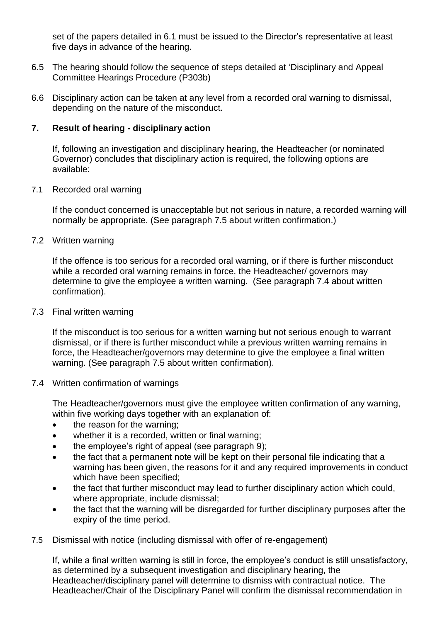set of the papers detailed in 6.1 must be issued to the Director's representative at least five days in advance of the hearing.

- 6.5 The hearing should follow the sequence of steps detailed at 'Disciplinary and Appeal Committee Hearings Procedure (P303b)
- 6.6 Disciplinary action can be taken at any level from a recorded oral warning to dismissal, depending on the nature of the misconduct.

# **7. Result of hearing - disciplinary action**

If, following an investigation and disciplinary hearing, the Headteacher (or nominated Governor) concludes that disciplinary action is required, the following options are available:

#### 7.1 Recorded oral warning

If the conduct concerned is unacceptable but not serious in nature, a recorded warning will normally be appropriate. (See paragraph 7.5 about written confirmation.)

7.2 Written warning

If the offence is too serious for a recorded oral warning, or if there is further misconduct while a recorded oral warning remains in force, the Headteacher/ governors may determine to give the employee a written warning. (See paragraph 7.4 about written confirmation).

7.3 Final written warning

If the misconduct is too serious for a written warning but not serious enough to warrant dismissal, or if there is further misconduct while a previous written warning remains in force, the Headteacher/governors may determine to give the employee a final written warning. (See paragraph 7.5 about written confirmation).

#### 7.4 Written confirmation of warnings

The Headteacher/governors must give the employee written confirmation of any warning, within five working days together with an explanation of:

- the reason for the warning;
- whether it is a recorded, written or final warning;
- the employee's right of appeal (see paragraph 9);
- the fact that a permanent note will be kept on their personal file indicating that a warning has been given, the reasons for it and any required improvements in conduct which have been specified:
- the fact that further misconduct may lead to further disciplinary action which could, where appropriate, include dismissal;
- the fact that the warning will be disregarded for further disciplinary purposes after the expiry of the time period.
- 7.5 Dismissal with notice (including dismissal with offer of re-engagement)

If, while a final written warning is still in force, the employee's conduct is still unsatisfactory, as determined by a subsequent investigation and disciplinary hearing, the Headteacher/disciplinary panel will determine to dismiss with contractual notice. The Headteacher/Chair of the Disciplinary Panel will confirm the dismissal recommendation in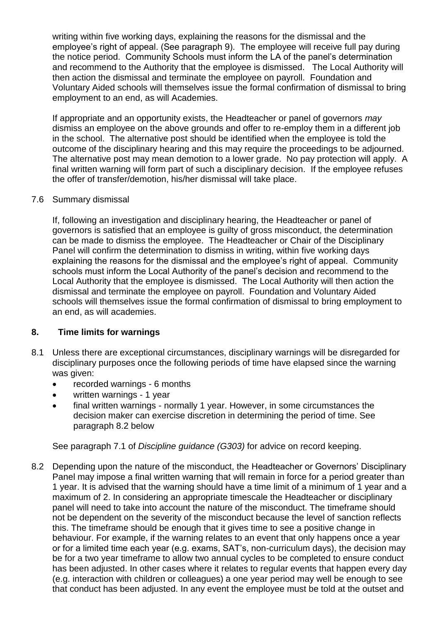writing within five working days, explaining the reasons for the dismissal and the employee's right of appeal. (See paragraph 9). The employee will receive full pay during the notice period. Community Schools must inform the LA of the panel's determination and recommend to the Authority that the employee is dismissed. The Local Authority will then action the dismissal and terminate the employee on payroll. Foundation and Voluntary Aided schools will themselves issue the formal confirmation of dismissal to bring employment to an end, as will Academies.

If appropriate and an opportunity exists, the Headteacher or panel of governors *may* dismiss an employee on the above grounds and offer to re-employ them in a different job in the school. The alternative post should be identified when the employee is told the outcome of the disciplinary hearing and this may require the proceedings to be adjourned. The alternative post may mean demotion to a lower grade. No pay protection will apply. A final written warning will form part of such a disciplinary decision. If the employee refuses the offer of transfer/demotion, his/her dismissal will take place.

#### 7.6 Summary dismissal

If, following an investigation and disciplinary hearing, the Headteacher or panel of governors is satisfied that an employee is guilty of gross misconduct, the determination can be made to dismiss the employee. The Headteacher or Chair of the Disciplinary Panel will confirm the determination to dismiss in writing, within five working days explaining the reasons for the dismissal and the employee's right of appeal. Community schools must inform the Local Authority of the panel's decision and recommend to the Local Authority that the employee is dismissed. The Local Authority will then action the dismissal and terminate the employee on payroll. Foundation and Voluntary Aided schools will themselves issue the formal confirmation of dismissal to bring employment to an end, as will academies.

#### **8. Time limits for warnings**

- 8.1 Unless there are exceptional circumstances, disciplinary warnings will be disregarded for disciplinary purposes once the following periods of time have elapsed since the warning was given:
	- recorded warnings 6 months
	- written warnings 1 year
	- final written warnings normally 1 year. However, in some circumstances the decision maker can exercise discretion in determining the period of time. See paragraph 8.2 below

See paragraph 7.1 of *Discipline guidance (G303)* for advice on record keeping.

8.2 Depending upon the nature of the misconduct, the Headteacher or Governors' Disciplinary Panel may impose a final written warning that will remain in force for a period greater than 1 year. It is advised that the warning should have a time limit of a minimum of 1 year and a maximum of 2. In considering an appropriate timescale the Headteacher or disciplinary panel will need to take into account the nature of the misconduct. The timeframe should not be dependent on the severity of the misconduct because the level of sanction reflects this. The timeframe should be enough that it gives time to see a positive change in behaviour. For example, if the warning relates to an event that only happens once a year or for a limited time each year (e.g. exams, SAT's, non-curriculum days), the decision may be for a two year timeframe to allow two annual cycles to be completed to ensure conduct has been adjusted. In other cases where it relates to regular events that happen every day (e.g. interaction with children or colleagues) a one year period may well be enough to see that conduct has been adjusted. In any event the employee must be told at the outset and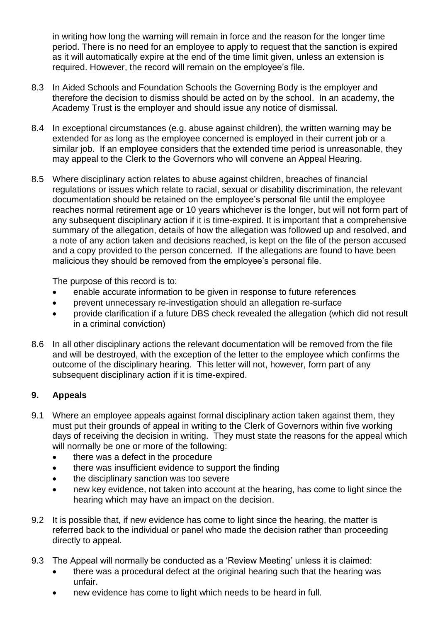in writing how long the warning will remain in force and the reason for the longer time period. There is no need for an employee to apply to request that the sanction is expired as it will automatically expire at the end of the time limit given, unless an extension is required. However, the record will remain on the employee's file.

- 8.3 In Aided Schools and Foundation Schools the Governing Body is the employer and therefore the decision to dismiss should be acted on by the school. In an academy, the Academy Trust is the employer and should issue any notice of dismissal.
- 8.4 In exceptional circumstances (e.g. abuse against children), the written warning may be extended for as long as the employee concerned is employed in their current job or a similar job. If an employee considers that the extended time period is unreasonable, they may appeal to the Clerk to the Governors who will convene an Appeal Hearing.
- 8.5 Where disciplinary action relates to abuse against children, breaches of financial regulations or issues which relate to racial, sexual or disability discrimination, the relevant documentation should be retained on the employee's personal file until the employee reaches normal retirement age or 10 years whichever is the longer, but will not form part of any subsequent disciplinary action if it is time-expired. It is important that a comprehensive summary of the allegation, details of how the allegation was followed up and resolved, and a note of any action taken and decisions reached, is kept on the file of the person accused and a copy provided to the person concerned. If the allegations are found to have been malicious they should be removed from the employee's personal file.

The purpose of this record is to:

- enable accurate information to be given in response to future references
- prevent unnecessary re-investigation should an allegation re-surface
- provide clarification if a future DBS check revealed the allegation (which did not result in a criminal conviction)
- 8.6 In all other disciplinary actions the relevant documentation will be removed from the file and will be destroyed, with the exception of the letter to the employee which confirms the outcome of the disciplinary hearing. This letter will not, however, form part of any subsequent disciplinary action if it is time-expired.

# **9. Appeals**

- 9.1 Where an employee appeals against formal disciplinary action taken against them, they must put their grounds of appeal in writing to the Clerk of Governors within five working days of receiving the decision in writing. They must state the reasons for the appeal which will normally be one or more of the following:
	- there was a defect in the procedure
	- there was insufficient evidence to support the finding
	- the disciplinary sanction was too severe
	- new key evidence, not taken into account at the hearing, has come to light since the hearing which may have an impact on the decision.
- 9.2 It is possible that, if new evidence has come to light since the hearing, the matter is referred back to the individual or panel who made the decision rather than proceeding directly to appeal.
- 9.3 The Appeal will normally be conducted as a 'Review Meeting' unless it is claimed:
	- there was a procedural defect at the original hearing such that the hearing was unfair.
	- new evidence has come to light which needs to be heard in full.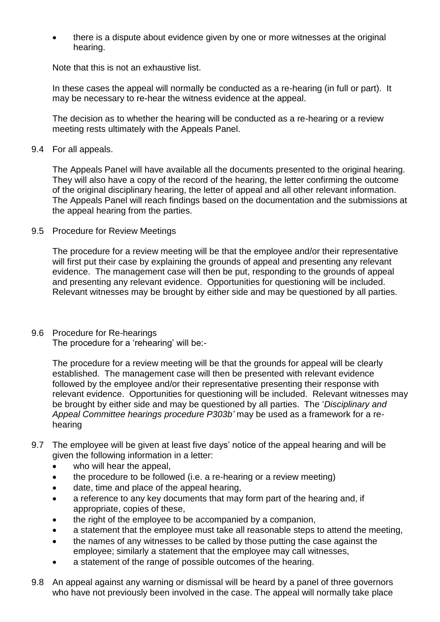there is a dispute about evidence given by one or more witnesses at the original hearing.

Note that this is not an exhaustive list.

In these cases the appeal will normally be conducted as a re-hearing (in full or part). It may be necessary to re-hear the witness evidence at the appeal.

The decision as to whether the hearing will be conducted as a re-hearing or a review meeting rests ultimately with the Appeals Panel.

9.4 For all appeals.

The Appeals Panel will have available all the documents presented to the original hearing. They will also have a copy of the record of the hearing, the letter confirming the outcome of the original disciplinary hearing, the letter of appeal and all other relevant information. The Appeals Panel will reach findings based on the documentation and the submissions at the appeal hearing from the parties.

9.5 Procedure for Review Meetings

The procedure for a review meeting will be that the employee and/or their representative will first put their case by explaining the grounds of appeal and presenting any relevant evidence. The management case will then be put, responding to the grounds of appeal and presenting any relevant evidence. Opportunities for questioning will be included. Relevant witnesses may be brought by either side and may be questioned by all parties.

9.6 Procedure for Re-hearings

The procedure for a 'rehearing' will be:-

The procedure for a review meeting will be that the grounds for appeal will be clearly established. The management case will then be presented with relevant evidence followed by the employee and/or their representative presenting their response with relevant evidence. Opportunities for questioning will be included. Relevant witnesses may be brought by either side and may be questioned by all parties. The '*Disciplinary and Appeal Committee hearings procedure P303b'* may be used as a framework for a rehearing

- 9.7 The employee will be given at least five days' notice of the appeal hearing and will be given the following information in a letter:
	- who will hear the appeal,
	- the procedure to be followed (i.e. a re-hearing or a review meeting)
	- date, time and place of the appeal hearing,
	- a reference to any key documents that may form part of the hearing and, if appropriate, copies of these,
	- the right of the employee to be accompanied by a companion,
	- a statement that the employee must take all reasonable steps to attend the meeting,
	- the names of any witnesses to be called by those putting the case against the employee; similarly a statement that the employee may call witnesses,
	- a statement of the range of possible outcomes of the hearing.
- 9.8 An appeal against any warning or dismissal will be heard by a panel of three governors who have not previously been involved in the case. The appeal will normally take place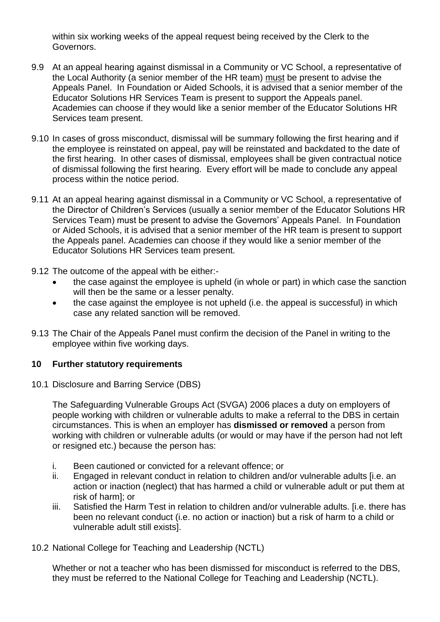within six working weeks of the appeal request being received by the Clerk to the Governors.

- 9.9 At an appeal hearing against dismissal in a Community or VC School, a representative of the Local Authority (a senior member of the HR team) must be present to advise the Appeals Panel. In Foundation or Aided Schools, it is advised that a senior member of the Educator Solutions HR Services Team is present to support the Appeals panel. Academies can choose if they would like a senior member of the Educator Solutions HR Services team present.
- 9.10 In cases of gross misconduct, dismissal will be summary following the first hearing and if the employee is reinstated on appeal, pay will be reinstated and backdated to the date of the first hearing. In other cases of dismissal, employees shall be given contractual notice of dismissal following the first hearing. Every effort will be made to conclude any appeal process within the notice period.
- 9.11 At an appeal hearing against dismissal in a Community or VC School, a representative of the Director of Children's Services (usually a senior member of the Educator Solutions HR Services Team) must be present to advise the Governors' Appeals Panel. In Foundation or Aided Schools, it is advised that a senior member of the HR team is present to support the Appeals panel. Academies can choose if they would like a senior member of the Educator Solutions HR Services team present.
- 9.12 The outcome of the appeal with be either:-
	- the case against the employee is upheld (in whole or part) in which case the sanction will then be the same or a lesser penalty.
	- the case against the employee is not upheld (i.e. the appeal is successful) in which case any related sanction will be removed.
- 9.13 The Chair of the Appeals Panel must confirm the decision of the Panel in writing to the employee within five working days.

# **10 Further statutory requirements**

10.1 Disclosure and Barring Service (DBS)

The Safeguarding Vulnerable Groups Act (SVGA) 2006 places a duty on employers of people working with children or vulnerable adults to make a referral to the DBS in certain circumstances. This is when an employer has **dismissed or removed** a person from working with children or vulnerable adults (or would or may have if the person had not left or resigned etc.) because the person has:

- i. Been cautioned or convicted for a relevant offence; or
- ii. Engaged in relevant conduct in relation to children and/or vulnerable adults [i.e. an action or inaction (neglect) that has harmed a child or vulnerable adult or put them at risk of harm]; or
- iii. Satisfied the Harm Test in relation to children and/or vulnerable adults. [i.e. there has been no relevant conduct (i.e. no action or inaction) but a risk of harm to a child or vulnerable adult still exists].
- 10.2 National College for Teaching and Leadership (NCTL)

Whether or not a teacher who has been dismissed for misconduct is referred to the DBS, they must be referred to the National College for Teaching and Leadership (NCTL).